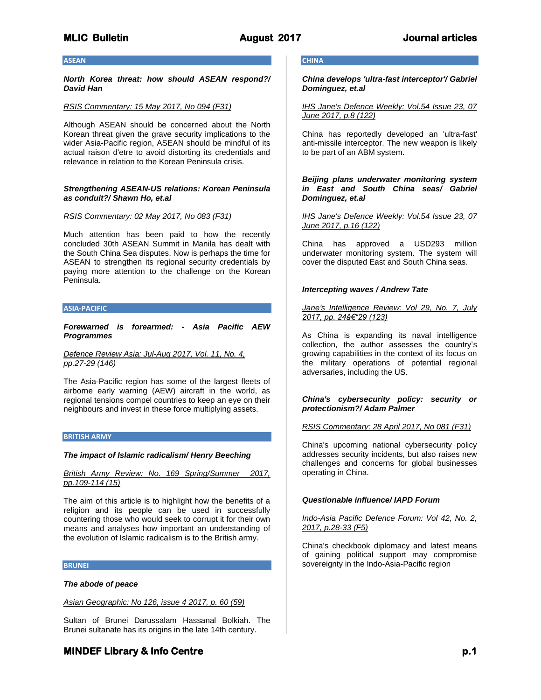## **ASEAN**

*North Korea threat: how should ASEAN respond?/ David Han*

## *RSIS Commentary: 15 May 2017, No 094 (F31)*

Although ASEAN should be concerned about the North Korean threat given the grave security implications to the wider Asia-Pacific region, ASEAN should be mindful of its actual raison d'etre to avoid distorting its credentials and relevance in relation to the Korean Peninsula crisis.

## *Strengthening ASEAN-US relations: Korean Peninsula as conduit?/ Shawn Ho, et.al*

## *RSIS Commentary: 02 May 2017, No 083 (F31)*

Much attention has been paid to how the recently concluded 30th ASEAN Summit in Manila has dealt with the South China Sea disputes. Now is perhaps the time for ASEAN to strengthen its regional security credentials by paying more attention to the challenge on the Korean Peninsula.

### **ASIA-PACIFIC**

*Forewarned is forearmed: - Asia Pacific AEW Programmes*

*Defence Review Asia: Jul-Aug 2017, Vol. 11, No. 4, pp.27-29 (146)*

The Asia-Pacific region has some of the largest fleets of airborne early warning (AEW) aircraft in the world, as regional tensions compel countries to keep an eye on their neighbours and invest in these force multiplying assets.

## **BRITISH ARMY**

## *The impact of Islamic radicalism/ Henry Beeching*

*British Army Review: No. 169 Spring/Summer 2017, pp.109-114 (15)*

The aim of this article is to highlight how the benefits of a religion and its people can be used in successfully countering those who would seek to corrupt it for their own means and analyses how important an understanding of the evolution of Islamic radicalism is to the British army.

## **BRUNEI**

## *The abode of peace*

*Asian Geographic: No 126, issue 4 2017, p. 60 (59)*

Sultan of Brunei Darussalam Hassanal Bolkiah. The Brunei sultanate has its origins in the late 14th century.

## **CHINA**

*China develops 'ultra-fast interceptor'/ Gabriel Dominguez, et.al*

*IHS Jane's Defence Weekly: Vol.54 Issue 23, 07 June 2017, p.8 (122)*

China has reportedly developed an 'ultra-fast' anti-missile interceptor. The new weapon is likely to be part of an ABM system.

*Beijing plans underwater monitoring system in East and South China seas/ Gabriel Dominguez, et.al*

*IHS Jane's Defence Weekly: Vol.54 Issue 23, 07 June 2017, p.16 (122)*

China has approved a USD293 million underwater monitoring system. The system will cover the disputed East and South China seas.

## *Intercepting waves / Andrew Tate*

*Jane's Intelligence Review: Vol 29, No. 7, July*  **2017, pp. 24â€**"29 (123)

As China is expanding its naval intelligence collection, the author assesses the country's growing capabilities in the context of its focus on the military operations of potential regional adversaries, including the US.

## *China's cybersecurity policy: security or protectionism?/ Adam Palmer*

## *RSIS Commentary: 28 April 2017, No 081 (F31)*

China's upcoming national cybersecurity policy addresses security incidents, but also raises new challenges and concerns for global businesses operating in China.

## *Questionable influence/ IAPD Forum*

## *Indo-Asia Pacific Defence Forum: Vol 42, No. 2, 2017, p.28-33 (F5)*

China's checkbook diplomacy and latest means of gaining political support may compromise sovereignty in the Indo-Asia-Pacific region

# **MINDEF Library & Info Centre** *p.1* **<b>p.1 p.1**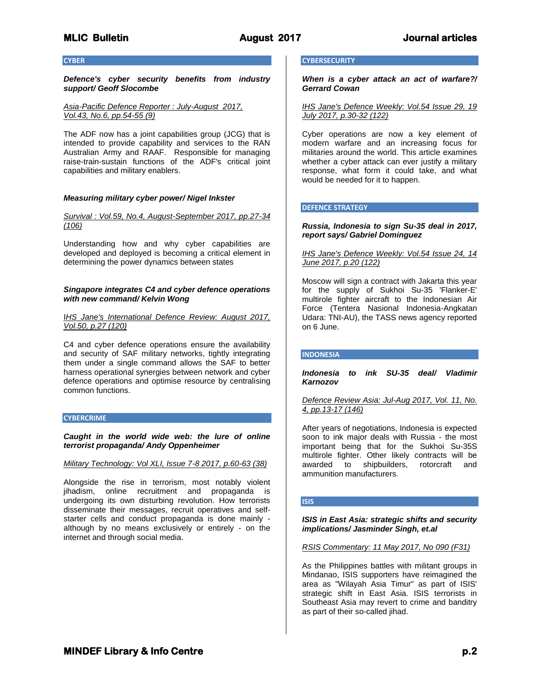## **CYBER**

*Defence's cyber security benefits from industry support/ Geoff Slocombe*

*Asia-Pacific Defence Reporter : July-August 2017, Vol.43, No.6, pp.54-55 (9)*

The ADF now has a joint capabilities group (JCG) that is intended to provide capability and services to the RAN Australian Army and RAAF. Responsible for managing raise-train-sustain functions of the ADF's critical joint capabilities and military enablers.

## *Measuring military cyber power/ Nigel Inkster*

*Survival : Vol.59, No.4, August-September 2017, pp.27-34 (106)*

Understanding how and why cyber capabilities are developed and deployed is becoming a critical element in determining the power dynamics between states

## *Singapore integrates C4 and cyber defence operations with new command/ Kelvin Wong*

## I*HS Jane's International Defence Review: August 2017, Vol.50, p.27 (120)*

C4 and cyber defence operations ensure the availability and security of SAF military networks, tightly integrating them under a single command allows the SAF to better harness operational synergies between network and cyber defence operations and optimise resource by centralising common functions.

### **CYBERCRIME**

*Caught in the world wide web: the lure of online terrorist propaganda/ Andy Oppenheimer* 

## *Military Technology: Vol XLI, Issue 7-8 2017, p.60-63 (38)*

Alongside the rise in terrorism, most notably violent jihadism, online recruitment and propaganda is undergoing its own disturbing revolution. How terrorists disseminate their messages, recruit operatives and selfstarter cells and conduct propaganda is done mainly although by no means exclusively or entirely - on the internet and through social media.

## **CYBERSECURITY**

*When is a cyber attack an act of warfare?/ Gerrard Cowan*

*IHS Jane's Defence Weekly: Vol.54 Issue 29, 19 July 2017, p.30-32 (122)*

Cyber operations are now a key element of modern warfare and an increasing focus for militaries around the world. This article examines whether a cyber attack can ever justify a military response, what form it could take, and what would be needed for it to happen.

## **DEFENCE STRATEGY**

## *Russia, Indonesia to sign Su-35 deal in 2017, report says/ Gabriel Dominguez*

### *IHS Jane's Defence Weekly: Vol.54 Issue 24, 14 June 2017, p.20 (122)*

Moscow will sign a contract with Jakarta this year for the supply of Sukhoi Su-35 'Flanker-E' multirole fighter aircraft to the Indonesian Air Force (Tentera Nasional Indonesia-Angkatan Udara: TNI-AU), the TASS news agency reported on 6 June.

## **INDONESIA**

*Indonesia to ink SU-35 deal/ Vladimir Karnozov*

*Defence Review Asia: Jul-Aug 2017, Vol. 11, No. 4, pp.13-17 (146)*

After years of negotiations, Indonesia is expected soon to ink major deals with Russia - the most important being that for the Sukhoi Su-35S multirole fighter. Other likely contracts will be awarded to shipbuilders, rotorcraft and ammunition manufacturers.

### **ISIS**

## *ISIS in East Asia: strategic shifts and security implications/ Jasminder Singh, et.al*

*RSIS Commentary: 11 May 2017, No 090 (F31)*

As the Philippines battles with militant groups in Mindanao, ISIS supporters have reimagined the area as "Wilayah Asia Timur" as part of ISIS' strategic shift in East Asia. ISIS terrorists in Southeast Asia may revert to crime and banditry as part of their so-called jihad.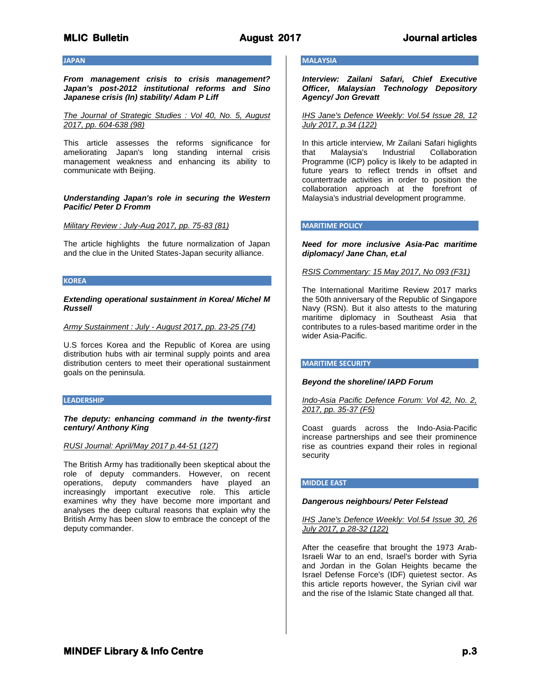### **JAPAN**

*From management crisis to crisis management? Japan's post-2012 institutional reforms and Sino Japanese crisis (In) stability/ Adam P Liff*

*The Journal of Strategic Studies : Vol 40, No. 5, August 2017, pp. 604-638 (98)*

This article assesses the reforms significance for ameliorating Japan's long standing internal crisis management weakness and enhancing its ability to communicate with Beijing.

*Understanding Japan's role in securing the Western Pacific/ Peter D Fromm*

*Military Review : July-Aug 2017, pp. 75-83 (81)*

The article highlights the future normalization of Japan and the clue in the United States-Japan security alliance.

## **KOREA**

*Extending operational sustainment in Korea/ Michel M Russell*

*Army Sustainment : July - August 2017, pp. 23-25 (74)*

U.S forces Korea and the Republic of Korea are using distribution hubs with air terminal supply points and area distribution centers to meet their operational sustainment goals on the peninsula.

### **LEADERSHIP**

*The deputy: enhancing command in the twenty-first century/ Anthony King*

### *RUSI Journal: April/May 2017 p.44-51 (127)*

The British Army has traditionally been skeptical about the role of deputy commanders. However, on recent operations, deputy commanders have played an increasingly important executive role. This article examines why they have become more important and analyses the deep cultural reasons that explain why the British Army has been slow to embrace the concept of the deputy commander.

## **MALAYSIA**

*Interview: Zailani Safari, Chief Executive Officer, Malaysian Technology Depository Agency/ Jon Grevatt*

*IHS Jane's Defence Weekly: Vol.54 Issue 28, 12 July 2017, p.34 (122)*

In this article interview, Mr Zailani Safari higlights that Malaysia's Industrial Collaboration Programme (ICP) policy is likely to be adapted in future years to reflect trends in offset and countertrade activities in order to position the collaboration approach at the forefront of Malaysia's industrial development programme.

## **MARITIME POLICY**

*Need for more inclusive Asia-Pac maritime diplomacy/ Jane Chan, et.al*

## *RSIS Commentary: 15 May 2017, No 093 (F31)*

The International Maritime Review 2017 marks the 50th anniversary of the Republic of Singapore Navy (RSN). But it also attests to the maturing maritime diplomacy in Southeast Asia that contributes to a rules-based maritime order in the wider Asia-Pacific.

## **MARITIME SECURITY**

### *Beyond the shoreline/ IAPD Forum*

*Indo-Asia Pacific Defence Forum: Vol 42, No. 2, 2017, pp. 35-37 (F5)*

Coast guards across the Indo-Asia-Pacific increase partnerships and see their prominence rise as countries expand their roles in regional security

### **MIDDLE EAST**

### *Dangerous neighbours/ Peter Felstead*

*IHS Jane's Defence Weekly: Vol.54 Issue 30, 26 July 2017, p.28-32 (122)*

After the ceasefire that brought the 1973 Arab-Israeli War to an end, Israel's border with Syria and Jordan in the Golan Heights became the Israel Defense Force's (IDF) quietest sector. As this article reports however, the Syrian civil war and the rise of the Islamic State changed all that.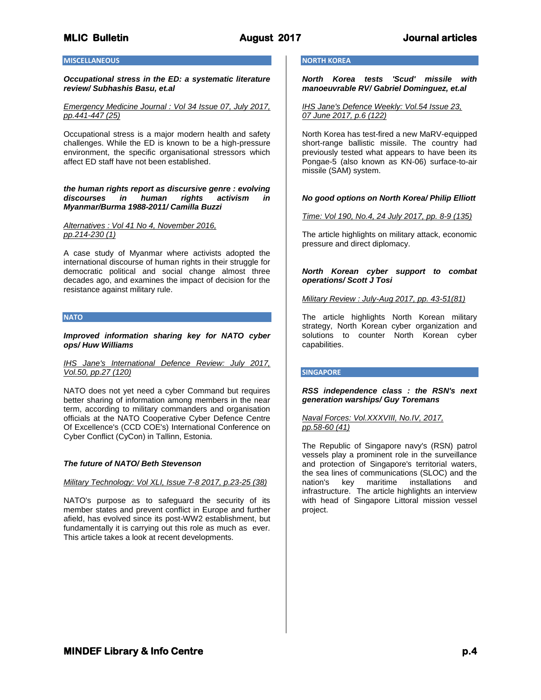## **MISCELLANEOUS**

*Occupational stress in the ED: a systematic literature review/ Subhashis Basu, et.al* 

## *Emergency Medicine Journal : Vol 34 Issue 07, July 2017, pp.441-447 (25)*

Occupational stress is a major modern health and safety challenges. While the ED is known to be a high-pressure environment, the specific organisational stressors which affect ED staff have not been established.

## *the human rights report as discursive genre : evolving discourses in human rights activism in Myanmar/Burma 1988-2011/ Camilla Buzzi*

*Alternatives : Vol 41 No 4, November 2016, pp.214-230 (1)*

A case study of Myanmar where activists adopted the international discourse of human rights in their struggle for democratic political and social change almost three decades ago, and examines the impact of decision for the resistance against military rule.

## **NATO**

*Improved information sharing key for NATO cyber ops/ Huw Williams*

## *IHS Jane's International Defence Review: July 2017, Vol.50, pp.27 (120)*

NATO does not yet need a cyber Command but requires better sharing of information among members in the near term, according to military commanders and organisation officials at the NATO Cooperative Cyber Defence Centre Of Excellence's (CCD COE's) International Conference on Cyber Conflict (CyCon) in Tallinn, Estonia.

## *The future of NATO/ Beth Stevenson*

### *Military Technology: Vol XLI, Issue 7-8 2017, p.23-25 (38)*

NATO's purpose as to safeguard the security of its member states and prevent conflict in Europe and further afield, has evolved since its post-WW2 establishment, but fundamentally it is carrying out this role as much as ever. This article takes a look at recent developments.

## **NORTH KOREA**

*North Korea tests 'Scud' missile with manoeuvrable RV/ Gabriel Dominguez, et.al*

*IHS Jane's Defence Weekly: Vol.54 Issue 23, 07 June 2017, p.6 (122)*

North Korea has test-fired a new MaRV-equipped short-range ballistic missile. The country had previously tested what appears to have been its Pongae-5 (also known as KN-06) surface-to-air missile (SAM) system.

## *No good options on North Korea/ Philip Elliott*

*Time: Vol 190, No.4, 24 July 2017, pp. 8-9 (135)*

The article highlights on military attack, economic pressure and direct diplomacy.

## *North Korean cyber support to combat operations/ Scott J Tosi*

*Military Review : July-Aug 2017, pp. 43-51(81)*

The article highlights North Korean military strategy, North Korean cyber organization and solutions to counter North Korean cyber capabilities.

### **SINGAPORE**

*RSS independence class : the RSN's next generation warships/ Guy Toremans*

## *Naval Forces: Vol.XXXVIII, No.IV, 2017, pp.58-60 (41)*

The Republic of Singapore navy's (RSN) patrol vessels play a prominent role in the surveillance and protection of Singapore's territorial waters, the sea lines of communications (SLOC) and the nation's key maritime installations and infrastructure. The article highlights an interview with head of Singapore Littoral mission vessel project.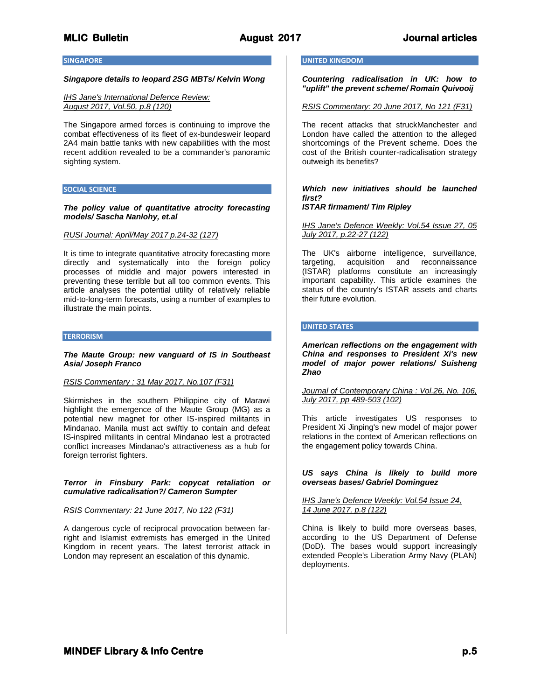## **SINGAPORE**

## *Singapore details to leopard 2SG MBTs/ Kelvin Wong*

## *IHS Jane's International Defence Review: August 2017, Vol.50, p.8 (120)*

The Singapore armed forces is continuing to improve the combat effectiveness of its fleet of ex-bundesweir leopard 2A4 main battle tanks with new capabilities with the most recent addition revealed to be a commander's panoramic sighting system.

## **SOCIAL SCIENCE**

### *The policy value of quantitative atrocity forecasting models/ Sascha Nanlohy, et.al*

## *RUSI Journal: April/May 2017 p.24-32 (127)*

It is time to integrate quantitative atrocity forecasting more directly and systematically into the foreign policy processes of middle and major powers interested in preventing these terrible but all too common events. This article analyses the potential utility of relatively reliable mid-to-long-term forecasts, using a number of examples to illustrate the main points.

#### **TERRORISM**

## *The Maute Group: new vanguard of IS in Southeast Asia/ Joseph Franco*

### *RSIS Commentary : 31 May 2017, No.107 (F31)*

Skirmishes in the southern Philippine city of Marawi highlight the emergence of the Maute Group (MG) as a potential new magnet for other IS-inspired militants in Mindanao. Manila must act swiftly to contain and defeat IS-inspired militants in central Mindanao lest a protracted conflict increases Mindanao's attractiveness as a hub for foreign terrorist fighters.

## *Terror in Finsbury Park: copycat retaliation or cumulative radicalisation?/ Cameron Sumpter*

## *RSIS Commentary: 21 June 2017, No 122 (F31)*

A dangerous cycle of reciprocal provocation between farright and Islamist extremists has emerged in the United Kingdom in recent years. The latest terrorist attack in London may represent an escalation of this dynamic.

## **UNITED KINGDOM**

*Countering radicalisation in UK: how to "uplift" the prevent scheme/ Romain Quivooij*

### *RSIS Commentary: 20 June 2017, No 121 (F31)*

The recent attacks that struckManchester and London have called the attention to the alleged shortcomings of the Prevent scheme. Does the cost of the British counter-radicalisation strategy outweigh its benefits?

## *Which new initiatives should be launched first?*

## *ISTAR firmament/ Tim Ripley*

*IHS Jane's Defence Weekly: Vol.54 Issue 27, 05 July 2017, p.22-27 (122)*

The UK's airborne intelligence, surveillance, targeting, acquisition and reconnaissance (ISTAR) platforms constitute an increasingly important capability. This article examines the status of the country's ISTAR assets and charts their future evolution.

### **UNITED STATES**

*American reflections on the engagement with China and responses to President Xi's new model of major power relations/ Suisheng Zhao*

## *Journal of Contemporary China : Vol.26, No. 106, July 2017, pp 489-503 (102)*

This article investigates US responses to President Xi Jinping's new model of major power relations in the context of American reflections on the engagement policy towards China.

*US says China is likely to build more overseas bases/ Gabriel Dominguez*

## *IHS Jane's Defence Weekly: Vol.54 Issue 24, 14 June 2017, p.8 (122)*

China is likely to build more overseas bases, according to the US Department of Defense (DoD). The bases would support increasingly extended People's Liberation Army Navy (PLAN) deployments.